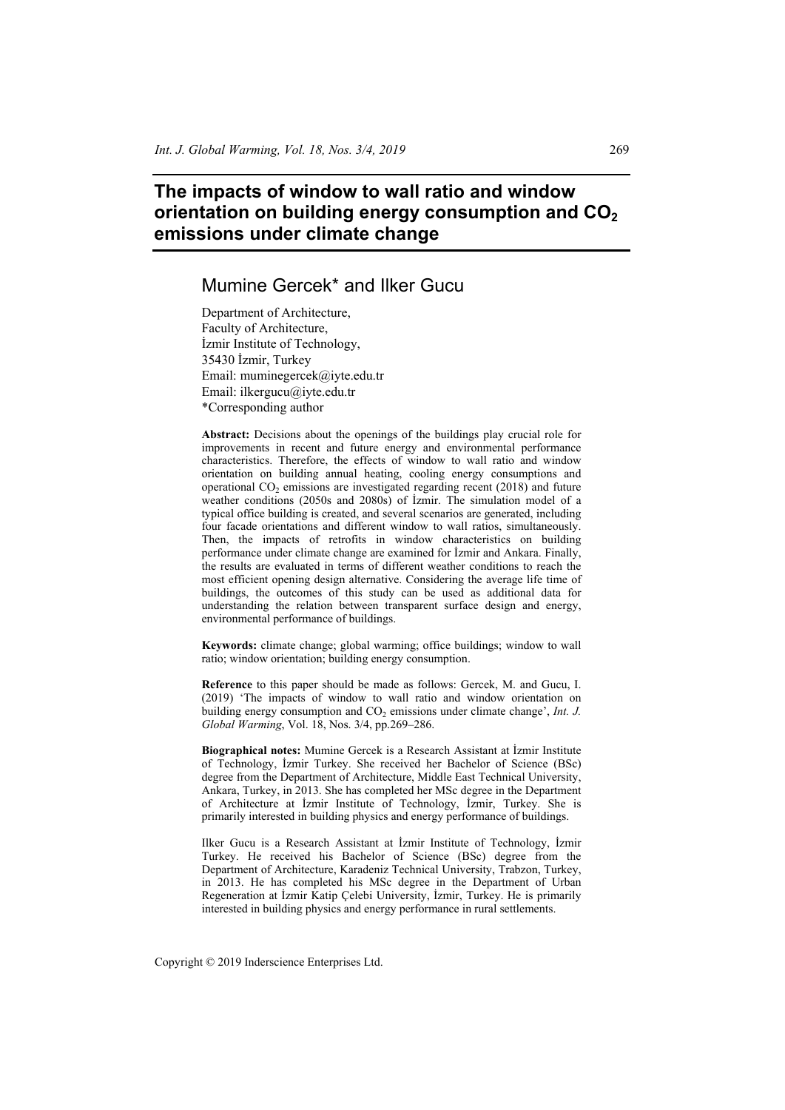# **The impacts of window to wall ratio and window orientation on building energy consumption and CO2 emissions under climate change**

# Mumine Gercek\* and Ilker Gucu

Department of Architecture, Faculty of Architecture, İzmir Institute of Technology, 35430 İzmir, Turkey Email: muminegercek@iyte.edu.tr Email: ilkergucu@iyte.edu.tr \*Corresponding author

**Abstract:** Decisions about the openings of the buildings play crucial role for improvements in recent and future energy and environmental performance characteristics. Therefore, the effects of window to wall ratio and window orientation on building annual heating, cooling energy consumptions and operational  $CO<sub>2</sub>$  emissions are investigated regarding recent (2018) and future weather conditions (2050s and 2080s) of İzmir. The simulation model of a typical office building is created, and several scenarios are generated, including four facade orientations and different window to wall ratios, simultaneously. Then, the impacts of retrofits in window characteristics on building performance under climate change are examined for İzmir and Ankara. Finally, the results are evaluated in terms of different weather conditions to reach the most efficient opening design alternative. Considering the average life time of buildings, the outcomes of this study can be used as additional data for understanding the relation between transparent surface design and energy, environmental performance of buildings.

**Keywords:** climate change; global warming; office buildings; window to wall ratio; window orientation; building energy consumption.

**Reference** to this paper should be made as follows: Gercek, M. and Gucu, I. (2019) 'The impacts of window to wall ratio and window orientation on building energy consumption and CO<sub>2</sub> emissions under climate change', *Int. J. Global Warming*, Vol. 18, Nos. 3/4, pp.269–286.

**Biographical notes:** Mumine Gercek is a Research Assistant at İzmir Institute of Technology, İzmir Turkey. She received her Bachelor of Science (BSc) degree from the Department of Architecture, Middle East Technical University, Ankara, Turkey, in 2013. She has completed her MSc degree in the Department of Architecture at İzmir Institute of Technology, İzmir, Turkey. She is primarily interested in building physics and energy performance of buildings.

Ilker Gucu is a Research Assistant at İzmir Institute of Technology, İzmir Turkey. He received his Bachelor of Science (BSc) degree from the Department of Architecture, Karadeniz Technical University, Trabzon, Turkey, in 2013. He has completed his MSc degree in the Department of Urban Regeneration at İzmir Katip Çelebi University, İzmir, Turkey. He is primarily interested in building physics and energy performance in rural settlements.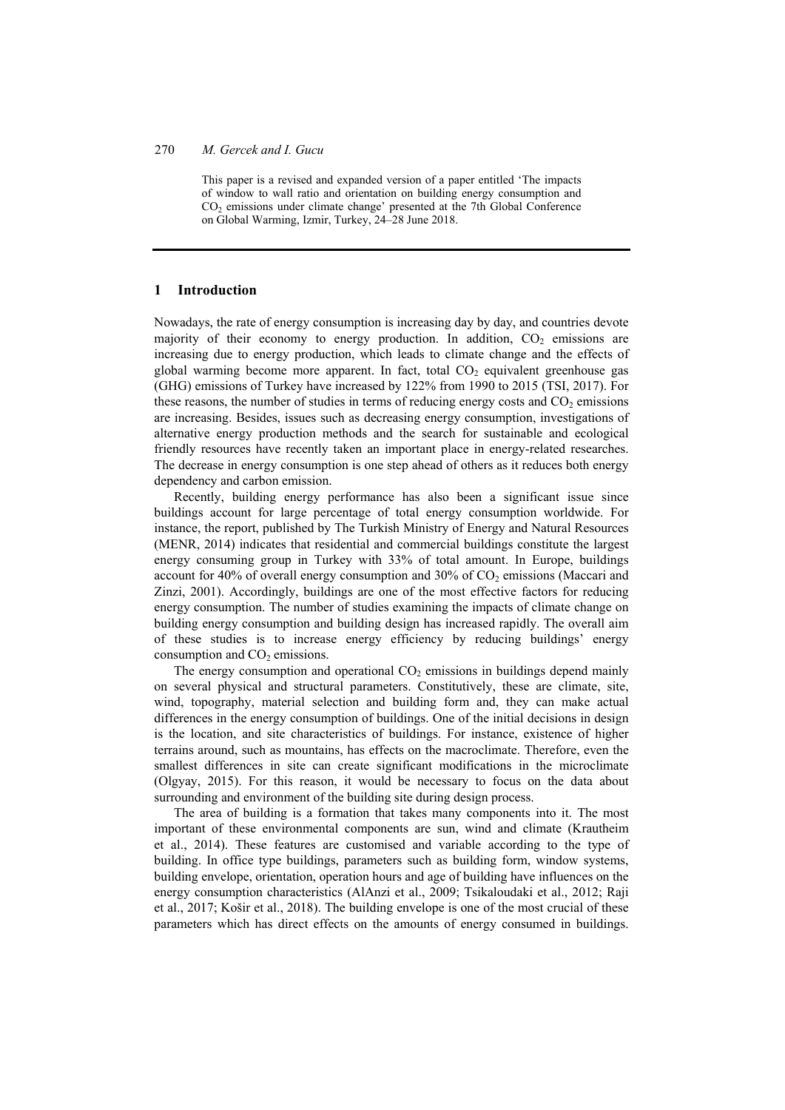This paper is a revised and expanded version of a paper entitled 'The impacts of window to wall ratio and orientation on building energy consumption and CO2 emissions under climate change' presented at the 7th Global Conference on Global Warming, Izmir, Turkey, 24–28 June 2018.

#### **1 Introduction**

Nowadays, the rate of energy consumption is increasing day by day, and countries devote majority of their economy to energy production. In addition,  $CO<sub>2</sub>$  emissions are increasing due to energy production, which leads to climate change and the effects of global warming become more apparent. In fact, total CO<sub>2</sub> equivalent greenhouse gas (GHG) emissions of Turkey have increased by 122% from 1990 to 2015 (TSI, 2017). For these reasons, the number of studies in terms of reducing energy costs and  $CO<sub>2</sub>$  emissions are increasing. Besides, issues such as decreasing energy consumption, investigations of alternative energy production methods and the search for sustainable and ecological friendly resources have recently taken an important place in energy-related researches. The decrease in energy consumption is one step ahead of others as it reduces both energy dependency and carbon emission.

Recently, building energy performance has also been a significant issue since buildings account for large percentage of total energy consumption worldwide. For instance, the report, published by The Turkish Ministry of Energy and Natural Resources (MENR, 2014) indicates that residential and commercial buildings constitute the largest energy consuming group in Turkey with 33% of total amount. In Europe, buildings account for 40% of overall energy consumption and  $30\%$  of  $CO<sub>2</sub>$  emissions (Maccari and Zinzi, 2001). Accordingly, buildings are one of the most effective factors for reducing energy consumption. The number of studies examining the impacts of climate change on building energy consumption and building design has increased rapidly. The overall aim of these studies is to increase energy efficiency by reducing buildings' energy consumption and  $CO<sub>2</sub>$  emissions.

The energy consumption and operational  $CO<sub>2</sub>$  emissions in buildings depend mainly on several physical and structural parameters. Constitutively, these are climate, site, wind, topography, material selection and building form and, they can make actual differences in the energy consumption of buildings. One of the initial decisions in design is the location, and site characteristics of buildings. For instance, existence of higher terrains around, such as mountains, has effects on the macroclimate. Therefore, even the smallest differences in site can create significant modifications in the microclimate (Olgyay, 2015). For this reason, it would be necessary to focus on the data about surrounding and environment of the building site during design process.

The area of building is a formation that takes many components into it. The most important of these environmental components are sun, wind and climate (Krautheim et al., 2014). These features are customised and variable according to the type of building. In office type buildings, parameters such as building form, window systems, building envelope, orientation, operation hours and age of building have influences on the energy consumption characteristics (AlAnzi et al., 2009; Tsikaloudaki et al., 2012; Raji et al., 2017; Košir et al., 2018). The building envelope is one of the most crucial of these parameters which has direct effects on the amounts of energy consumed in buildings.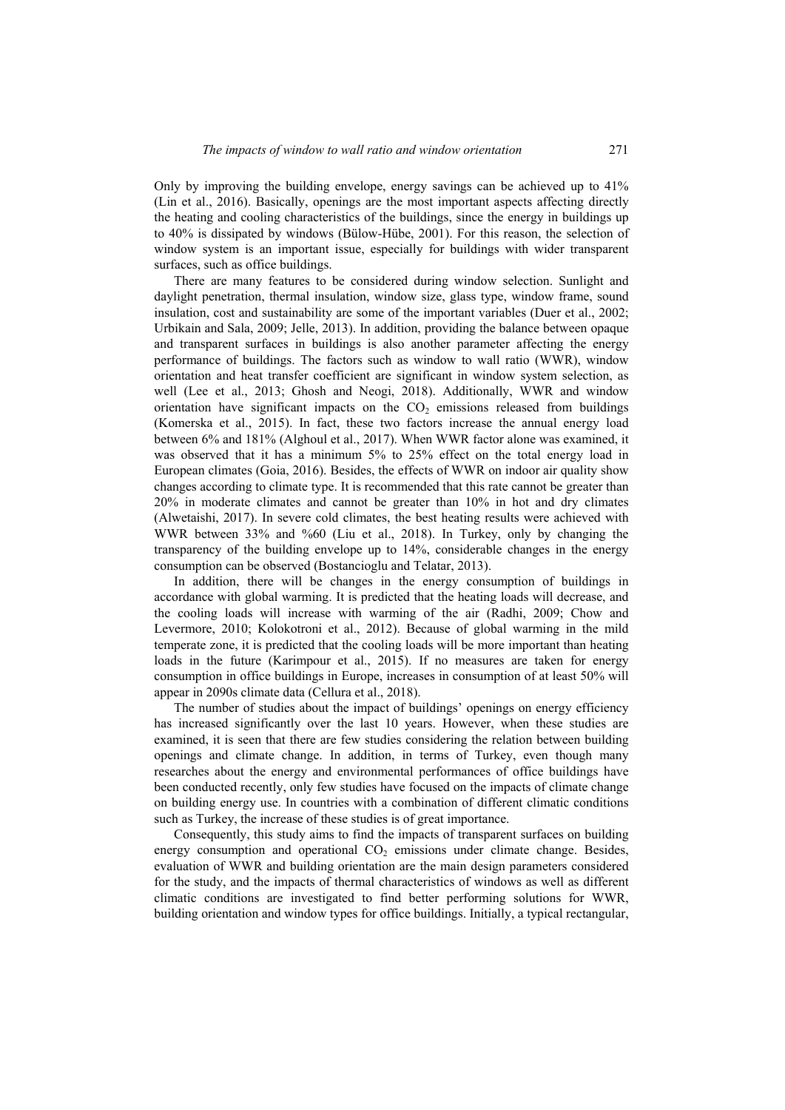Only by improving the building envelope, energy savings can be achieved up to 41% (Lin et al., 2016). Basically, openings are the most important aspects affecting directly the heating and cooling characteristics of the buildings, since the energy in buildings up to 40% is dissipated by windows (Bülow-Hübe, 2001). For this reason, the selection of window system is an important issue, especially for buildings with wider transparent surfaces, such as office buildings.

There are many features to be considered during window selection. Sunlight and daylight penetration, thermal insulation, window size, glass type, window frame, sound insulation, cost and sustainability are some of the important variables (Duer et al., 2002; Urbikain and Sala, 2009; Jelle, 2013). In addition, providing the balance between opaque and transparent surfaces in buildings is also another parameter affecting the energy performance of buildings. The factors such as window to wall ratio (WWR), window orientation and heat transfer coefficient are significant in window system selection, as well (Lee et al., 2013; Ghosh and Neogi, 2018). Additionally, WWR and window orientation have significant impacts on the  $CO<sub>2</sub>$  emissions released from buildings (Komerska et al., 2015). In fact, these two factors increase the annual energy load between 6% and 181% (Alghoul et al., 2017). When WWR factor alone was examined, it was observed that it has a minimum 5% to 25% effect on the total energy load in European climates (Goia, 2016). Besides, the effects of WWR on indoor air quality show changes according to climate type. It is recommended that this rate cannot be greater than 20% in moderate climates and cannot be greater than 10% in hot and dry climates (Alwetaishi, 2017). In severe cold climates, the best heating results were achieved with WWR between 33% and %60 (Liu et al., 2018). In Turkey, only by changing the transparency of the building envelope up to 14%, considerable changes in the energy consumption can be observed (Bostancioglu and Telatar, 2013).

In addition, there will be changes in the energy consumption of buildings in accordance with global warming. It is predicted that the heating loads will decrease, and the cooling loads will increase with warming of the air (Radhi, 2009; Chow and Levermore, 2010; Kolokotroni et al., 2012). Because of global warming in the mild temperate zone, it is predicted that the cooling loads will be more important than heating loads in the future (Karimpour et al., 2015). If no measures are taken for energy consumption in office buildings in Europe, increases in consumption of at least 50% will appear in 2090s climate data (Cellura et al., 2018).

The number of studies about the impact of buildings' openings on energy efficiency has increased significantly over the last 10 years. However, when these studies are examined, it is seen that there are few studies considering the relation between building openings and climate change. In addition, in terms of Turkey, even though many researches about the energy and environmental performances of office buildings have been conducted recently, only few studies have focused on the impacts of climate change on building energy use. In countries with a combination of different climatic conditions such as Turkey, the increase of these studies is of great importance.

Consequently, this study aims to find the impacts of transparent surfaces on building energy consumption and operational  $CO<sub>2</sub>$  emissions under climate change. Besides, evaluation of WWR and building orientation are the main design parameters considered for the study, and the impacts of thermal characteristics of windows as well as different climatic conditions are investigated to find better performing solutions for WWR, building orientation and window types for office buildings. Initially, a typical rectangular,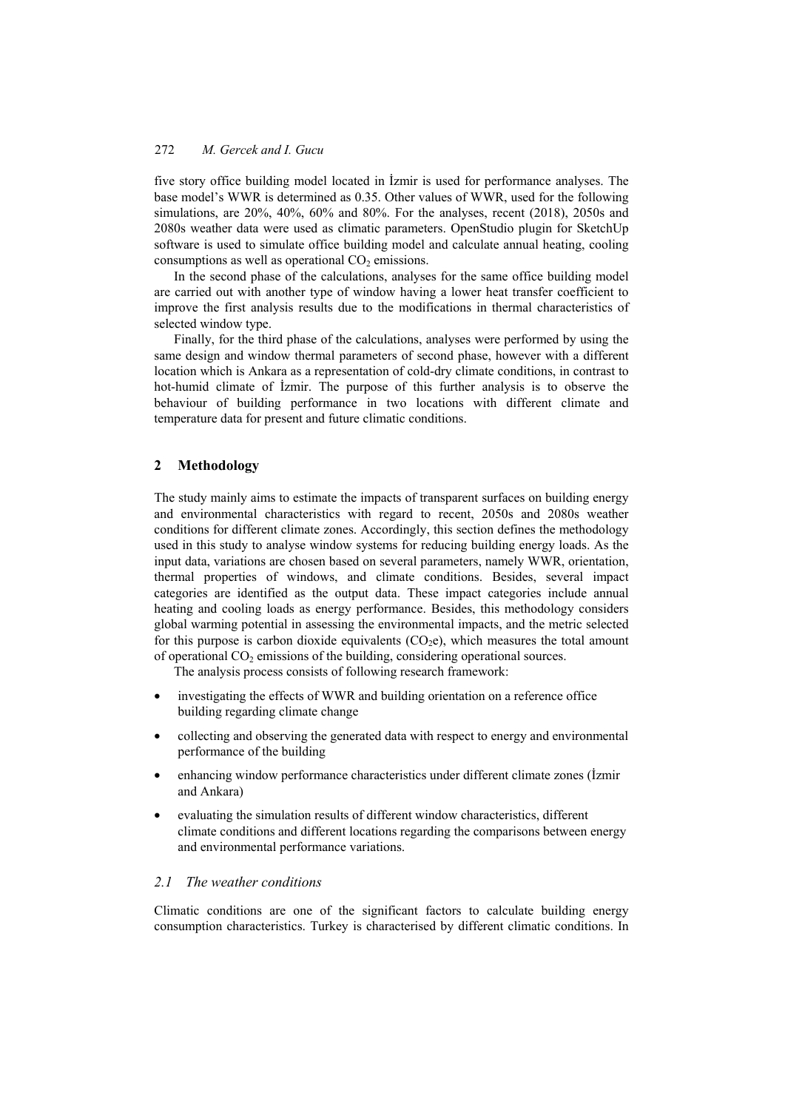five story office building model located in İzmir is used for performance analyses. The base model's WWR is determined as 0.35. Other values of WWR, used for the following simulations, are 20%, 40%, 60% and 80%. For the analyses, recent (2018), 2050s and 2080s weather data were used as climatic parameters. OpenStudio plugin for SketchUp software is used to simulate office building model and calculate annual heating, cooling consumptions as well as operational  $CO<sub>2</sub>$  emissions.

In the second phase of the calculations, analyses for the same office building model are carried out with another type of window having a lower heat transfer coefficient to improve the first analysis results due to the modifications in thermal characteristics of selected window type.

Finally, for the third phase of the calculations, analyses were performed by using the same design and window thermal parameters of second phase, however with a different location which is Ankara as a representation of cold-dry climate conditions, in contrast to hot-humid climate of İzmir. The purpose of this further analysis is to observe the behaviour of building performance in two locations with different climate and temperature data for present and future climatic conditions.

#### **2 Methodology**

The study mainly aims to estimate the impacts of transparent surfaces on building energy and environmental characteristics with regard to recent, 2050s and 2080s weather conditions for different climate zones. Accordingly, this section defines the methodology used in this study to analyse window systems for reducing building energy loads. As the input data, variations are chosen based on several parameters, namely WWR, orientation, thermal properties of windows, and climate conditions. Besides, several impact categories are identified as the output data. These impact categories include annual heating and cooling loads as energy performance. Besides, this methodology considers global warming potential in assessing the environmental impacts, and the metric selected for this purpose is carbon dioxide equivalents  $(CO<sub>2</sub>e)$ , which measures the total amount of operational  $CO<sub>2</sub>$  emissions of the building, considering operational sources.

The analysis process consists of following research framework:

- investigating the effects of WWR and building orientation on a reference office building regarding climate change
- collecting and observing the generated data with respect to energy and environmental performance of the building
- enhancing window performance characteristics under different climate zones (İzmir and Ankara)
- evaluating the simulation results of different window characteristics, different climate conditions and different locations regarding the comparisons between energy and environmental performance variations.

#### *2.1 The weather conditions*

Climatic conditions are one of the significant factors to calculate building energy consumption characteristics. Turkey is characterised by different climatic conditions. In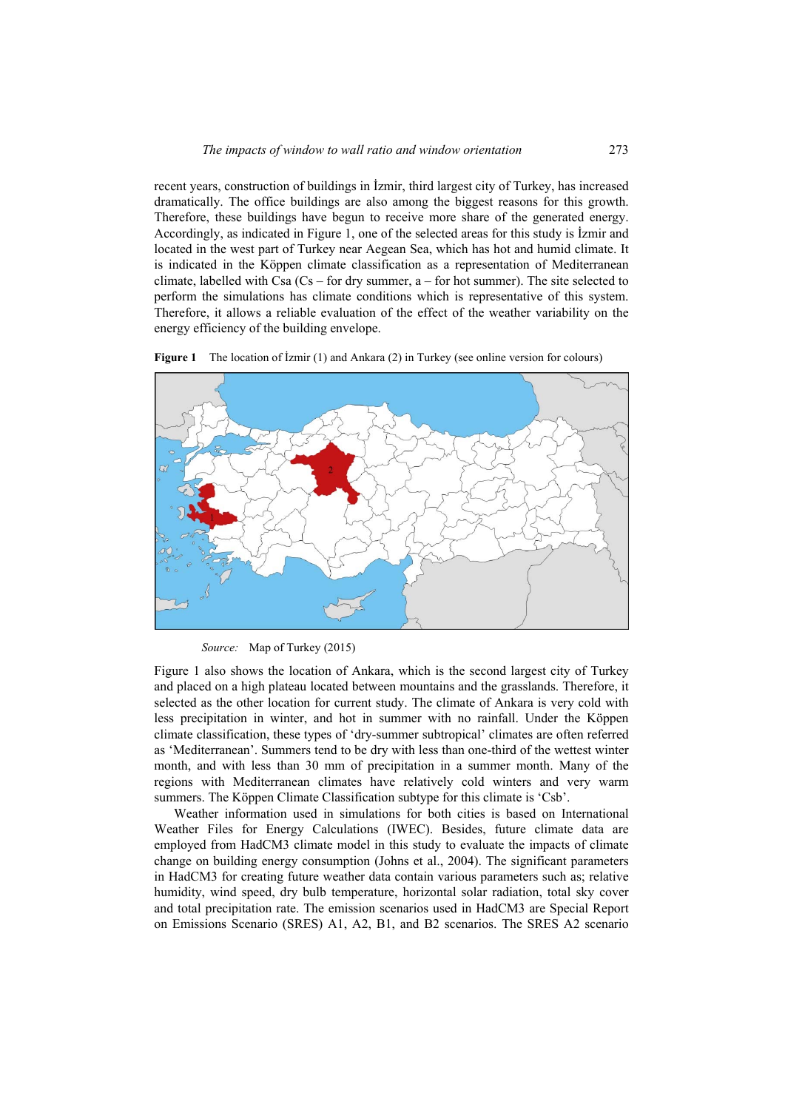recent years, construction of buildings in İzmir, third largest city of Turkey, has increased dramatically. The office buildings are also among the biggest reasons for this growth. Therefore, these buildings have begun to receive more share of the generated energy. Accordingly, as indicated in Figure 1, one of the selected areas for this study is İzmir and located in the west part of Turkey near Aegean Sea, which has hot and humid climate. It is indicated in the Köppen climate classification as a representation of Mediterranean climate, labelled with Csa (Cs – for dry summer,  $a$  – for hot summer). The site selected to perform the simulations has climate conditions which is representative of this system. Therefore, it allows a reliable evaluation of the effect of the weather variability on the energy efficiency of the building envelope.





*Source:* Map of Turkey (2015)

Figure 1 also shows the location of Ankara, which is the second largest city of Turkey and placed on a high plateau located between mountains and the grasslands. Therefore, it selected as the other location for current study. The climate of Ankara is very cold with less precipitation in winter, and hot in summer with no rainfall. Under the Köppen climate classification, these types of 'dry-summer subtropical' climates are often referred as 'Mediterranean'. Summers tend to be dry with less than one-third of the wettest winter month, and with less than 30 mm of precipitation in a summer month. Many of the regions with Mediterranean climates have relatively cold winters and very warm summers. The Köppen Climate Classification subtype for this climate is 'Csb'.

Weather information used in simulations for both cities is based on International Weather Files for Energy Calculations (IWEC). Besides, future climate data are employed from HadCM3 climate model in this study to evaluate the impacts of climate change on building energy consumption (Johns et al., 2004). The significant parameters in HadCM3 for creating future weather data contain various parameters such as; relative humidity, wind speed, dry bulb temperature, horizontal solar radiation, total sky cover and total precipitation rate. The emission scenarios used in HadCM3 are Special Report on Emissions Scenario (SRES) A1, A2, B1, and B2 scenarios. The SRES A2 scenario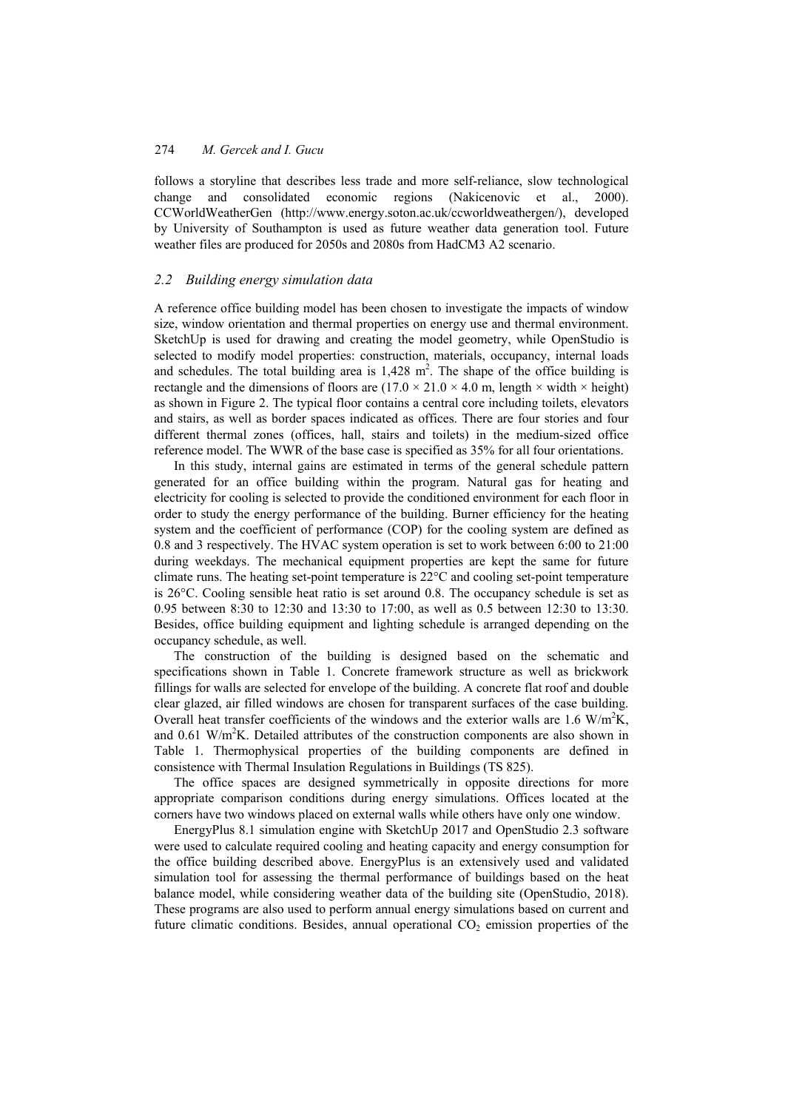follows a storyline that describes less trade and more self-reliance, slow technological change and consolidated economic regions (Nakicenovic et al., 2000). CCWorldWeatherGen (http://www.energy.soton.ac.uk/ccworldweathergen/), developed by University of Southampton is used as future weather data generation tool. Future weather files are produced for 2050s and 2080s from HadCM3 A2 scenario.

#### *2.2 Building energy simulation data*

A reference office building model has been chosen to investigate the impacts of window size, window orientation and thermal properties on energy use and thermal environment. SketchUp is used for drawing and creating the model geometry, while OpenStudio is selected to modify model properties: construction, materials, occupancy, internal loads and schedules. The total building area is  $1,428 \text{ m}^2$ . The shape of the office building is rectangle and the dimensions of floors are  $(17.0 \times 21.0 \times 4.0 \text{ m}$ , length  $\times$  width  $\times$  height) as shown in Figure 2. The typical floor contains a central core including toilets, elevators and stairs, as well as border spaces indicated as offices. There are four stories and four different thermal zones (offices, hall, stairs and toilets) in the medium-sized office reference model. The WWR of the base case is specified as 35% for all four orientations.

In this study, internal gains are estimated in terms of the general schedule pattern generated for an office building within the program. Natural gas for heating and electricity for cooling is selected to provide the conditioned environment for each floor in order to study the energy performance of the building. Burner efficiency for the heating system and the coefficient of performance (COP) for the cooling system are defined as 0.8 and 3 respectively. The HVAC system operation is set to work between 6:00 to 21:00 during weekdays. The mechanical equipment properties are kept the same for future climate runs. The heating set-point temperature is 22°C and cooling set-point temperature is 26°C. Cooling sensible heat ratio is set around 0.8. The occupancy schedule is set as 0.95 between 8:30 to 12:30 and 13:30 to 17:00, as well as 0.5 between 12:30 to 13:30. Besides, office building equipment and lighting schedule is arranged depending on the occupancy schedule, as well.

The construction of the building is designed based on the schematic and specifications shown in Table 1. Concrete framework structure as well as brickwork fillings for walls are selected for envelope of the building. A concrete flat roof and double clear glazed, air filled windows are chosen for transparent surfaces of the case building. Overall heat transfer coefficients of the windows and the exterior walls are 1.6  $W/m^2K$ , and  $0.61 \text{ W/m}^2\text{K}$ . Detailed attributes of the construction components are also shown in Table 1. Thermophysical properties of the building components are defined in consistence with Thermal Insulation Regulations in Buildings (TS 825).

The office spaces are designed symmetrically in opposite directions for more appropriate comparison conditions during energy simulations. Offices located at the corners have two windows placed on external walls while others have only one window.

EnergyPlus 8.1 simulation engine with SketchUp 2017 and OpenStudio 2.3 software were used to calculate required cooling and heating capacity and energy consumption for the office building described above. EnergyPlus is an extensively used and validated simulation tool for assessing the thermal performance of buildings based on the heat balance model, while considering weather data of the building site (OpenStudio, 2018). These programs are also used to perform annual energy simulations based on current and future climatic conditions. Besides, annual operational  $CO<sub>2</sub>$  emission properties of the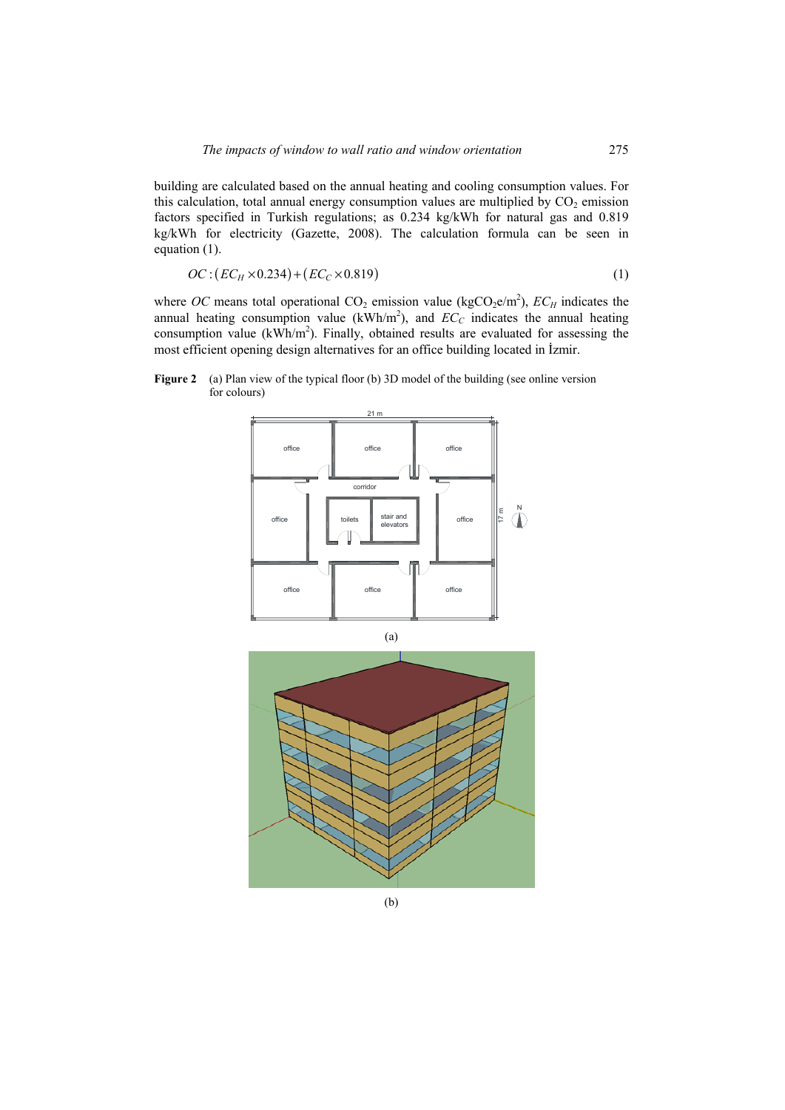building are calculated based on the annual heating and cooling consumption values. For this calculation, total annual energy consumption values are multiplied by  $CO<sub>2</sub>$  emission factors specified in Turkish regulations; as 0.234 kg/kWh for natural gas and 0.819 kg/kWh for electricity (Gazette, 2008). The calculation formula can be seen in equation (1).

$$
OC: (EC_H \times 0.234) + (EC_C \times 0.819) \tag{1}
$$

where OC means total operational  $CO_2$  emission value (kgCO<sub>2</sub>e/m<sup>2</sup>),  $EC_H$  indicates the annual heating consumption value  $(kWh/m^2)$ , and  $EC_C$  indicates the annual heating consumption value  $(kWh/m^2)$ . Finally, obtained results are evaluated for assessing the most efficient opening design alternatives for an office building located in İzmir.







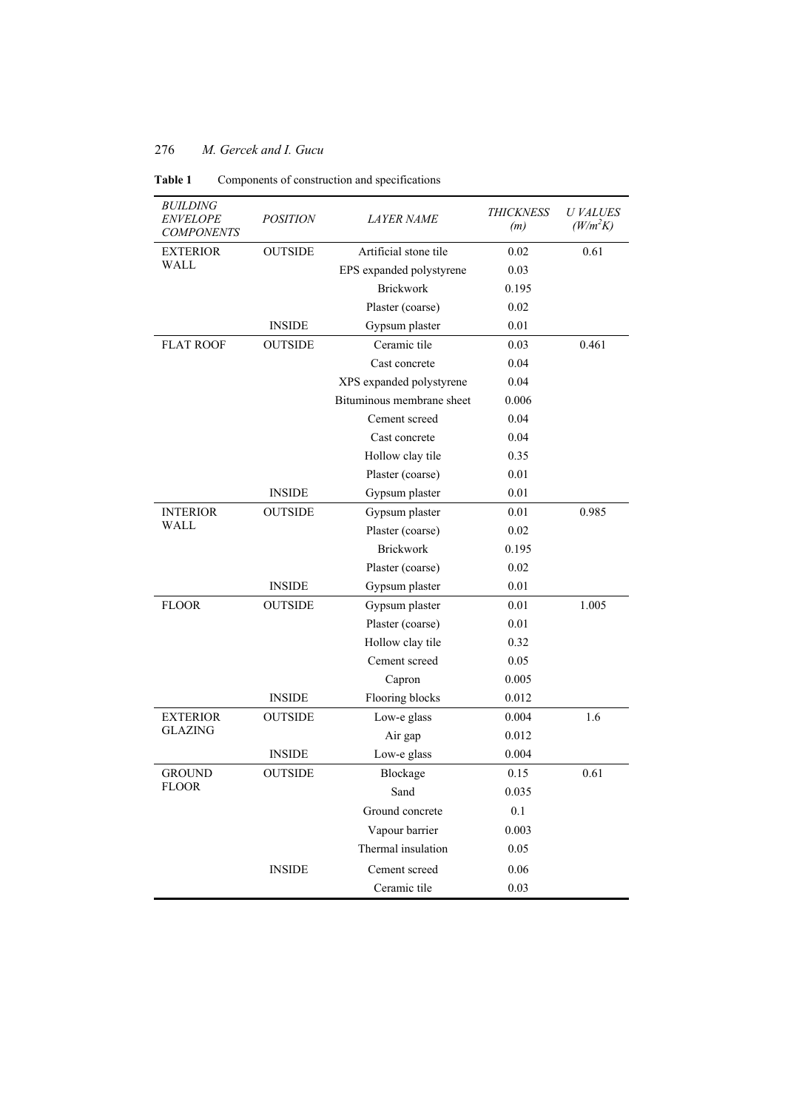| <i>BUILDING</i><br><b>ENVELOPE</b><br><b>COMPONENTS</b> | <i>POSITION</i> | <i>LAYER NAME</i>         | <b>THICKNESS</b><br>(m) | <b>U VALUES</b><br>(W/m <sup>2</sup> K) |
|---------------------------------------------------------|-----------------|---------------------------|-------------------------|-----------------------------------------|
| EXTERIOR<br>WALL                                        | <b>OUTSIDE</b>  | Artificial stone tile     | 0.02                    | 0.61                                    |
|                                                         |                 | EPS expanded polystyrene  | 0.03                    |                                         |
|                                                         |                 | <b>Brickwork</b>          | 0.195                   |                                         |
|                                                         |                 | Plaster (coarse)          | 0.02                    |                                         |
|                                                         | <b>INSIDE</b>   | Gypsum plaster            | 0.01                    |                                         |
| <b>FLAT ROOF</b>                                        | <b>OUTSIDE</b>  | Ceramic tile              | 0.03                    | 0.461                                   |
|                                                         |                 | Cast concrete             | 0.04                    |                                         |
|                                                         |                 | XPS expanded polystyrene  | 0.04                    |                                         |
|                                                         |                 | Bituminous membrane sheet | 0.006                   |                                         |
|                                                         |                 | Cement screed             | 0.04                    |                                         |
|                                                         |                 | Cast concrete             | 0.04                    |                                         |
|                                                         |                 | Hollow clay tile          | 0.35                    |                                         |
|                                                         |                 | Plaster (coarse)          | 0.01                    |                                         |
|                                                         | <b>INSIDE</b>   | Gypsum plaster            | 0.01                    |                                         |
| <b>INTERIOR</b><br>WALL                                 | <b>OUTSIDE</b>  | Gypsum plaster            | 0.01                    | 0.985                                   |
|                                                         |                 | Plaster (coarse)          | 0.02                    |                                         |
|                                                         |                 | <b>Brickwork</b>          | 0.195                   |                                         |
|                                                         |                 | Plaster (coarse)          | 0.02                    |                                         |
|                                                         | <b>INSIDE</b>   | Gypsum plaster            | 0.01                    |                                         |
| <b>FLOOR</b>                                            | <b>OUTSIDE</b>  | Gypsum plaster            | 0.01                    | 1.005                                   |
|                                                         |                 | Plaster (coarse)          | 0.01                    |                                         |
|                                                         |                 | Hollow clay tile          | 0.32                    |                                         |
|                                                         |                 | Cement screed             | 0.05                    |                                         |
|                                                         |                 | Capron                    | 0.005                   |                                         |
|                                                         | <b>INSIDE</b>   | Flooring blocks           | 0.012                   |                                         |
| <b>EXTERIOR</b><br><b>GLAZING</b>                       | <b>OUTSIDE</b>  | Low-e glass               | 0.004                   | 1.6                                     |
|                                                         |                 | Air gap                   | 0.012                   |                                         |
|                                                         | <b>INSIDE</b>   | Low-e glass               | 0.004                   |                                         |
| GROUND                                                  | <b>OUTSIDE</b>  | Blockage                  | 0.15                    | 0.61                                    |
| <b>FLOOR</b>                                            |                 | Sand                      | 0.035                   |                                         |
|                                                         |                 | Ground concrete           | 0.1                     |                                         |
|                                                         |                 | Vapour barrier            | 0.003                   |                                         |
|                                                         |                 | Thermal insulation        | 0.05                    |                                         |
|                                                         | <b>INSIDE</b>   | Cement screed             | 0.06                    |                                         |
|                                                         |                 | Ceramic tile              | 0.03                    |                                         |

# **Table 1** Components of construction and specifications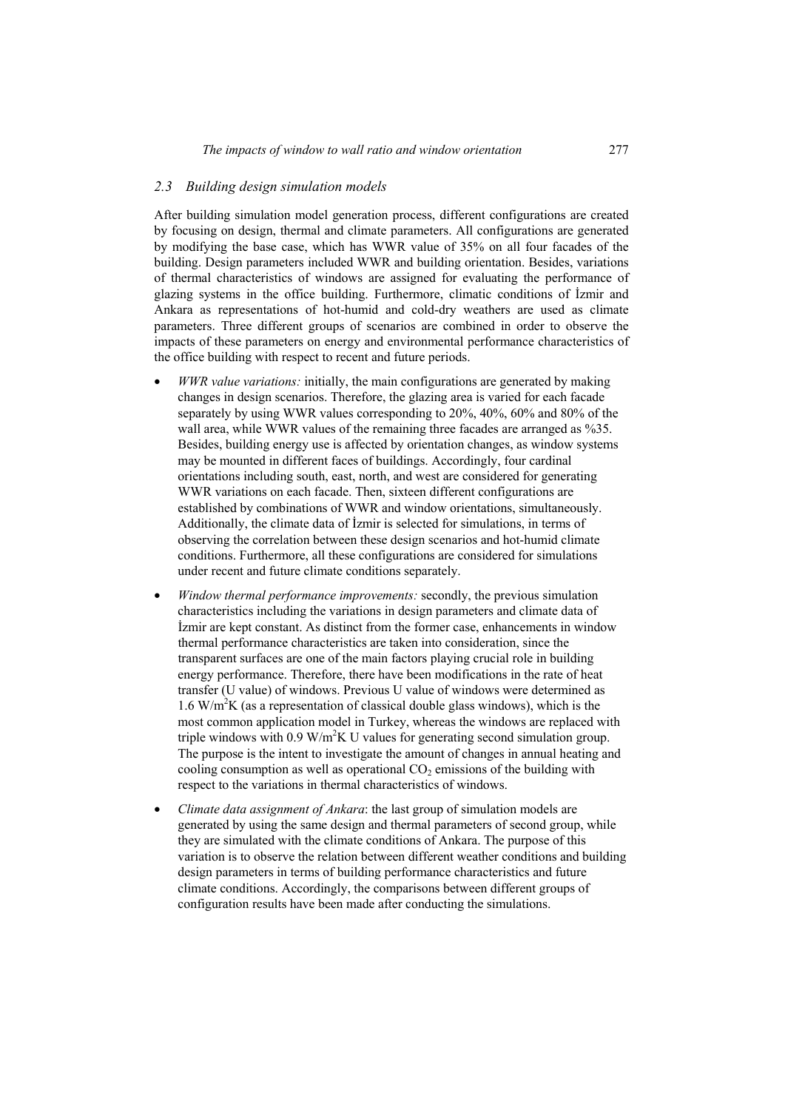#### *2.3 Building design simulation models*

After building simulation model generation process, different configurations are created by focusing on design, thermal and climate parameters. All configurations are generated by modifying the base case, which has WWR value of 35% on all four facades of the building. Design parameters included WWR and building orientation. Besides, variations of thermal characteristics of windows are assigned for evaluating the performance of glazing systems in the office building. Furthermore, climatic conditions of İzmir and Ankara as representations of hot-humid and cold-dry weathers are used as climate parameters. Three different groups of scenarios are combined in order to observe the impacts of these parameters on energy and environmental performance characteristics of the office building with respect to recent and future periods.

- *WWR value variations:* initially, the main configurations are generated by making changes in design scenarios. Therefore, the glazing area is varied for each facade separately by using WWR values corresponding to 20%, 40%, 60% and 80% of the wall area, while WWR values of the remaining three facades are arranged as %35. Besides, building energy use is affected by orientation changes, as window systems may be mounted in different faces of buildings. Accordingly, four cardinal orientations including south, east, north, and west are considered for generating WWR variations on each facade. Then, sixteen different configurations are established by combinations of WWR and window orientations, simultaneously. Additionally, the climate data of İzmir is selected for simulations, in terms of observing the correlation between these design scenarios and hot-humid climate conditions. Furthermore, all these configurations are considered for simulations under recent and future climate conditions separately.
- *Window thermal performance improvements:* secondly, the previous simulation characteristics including the variations in design parameters and climate data of İzmir are kept constant. As distinct from the former case, enhancements in window thermal performance characteristics are taken into consideration, since the transparent surfaces are one of the main factors playing crucial role in building energy performance. Therefore, there have been modifications in the rate of heat transfer (U value) of windows. Previous U value of windows were determined as  $1.6 \text{ W/m}^2\text{K}$  (as a representation of classical double glass windows), which is the most common application model in Turkey, whereas the windows are replaced with triple windows with  $0.9 \text{ W/m}^2 \text{K}$  U values for generating second simulation group. The purpose is the intent to investigate the amount of changes in annual heating and cooling consumption as well as operational  $CO<sub>2</sub>$  emissions of the building with respect to the variations in thermal characteristics of windows.
- *Climate data assignment of Ankara*: the last group of simulation models are generated by using the same design and thermal parameters of second group, while they are simulated with the climate conditions of Ankara. The purpose of this variation is to observe the relation between different weather conditions and building design parameters in terms of building performance characteristics and future climate conditions. Accordingly, the comparisons between different groups of configuration results have been made after conducting the simulations.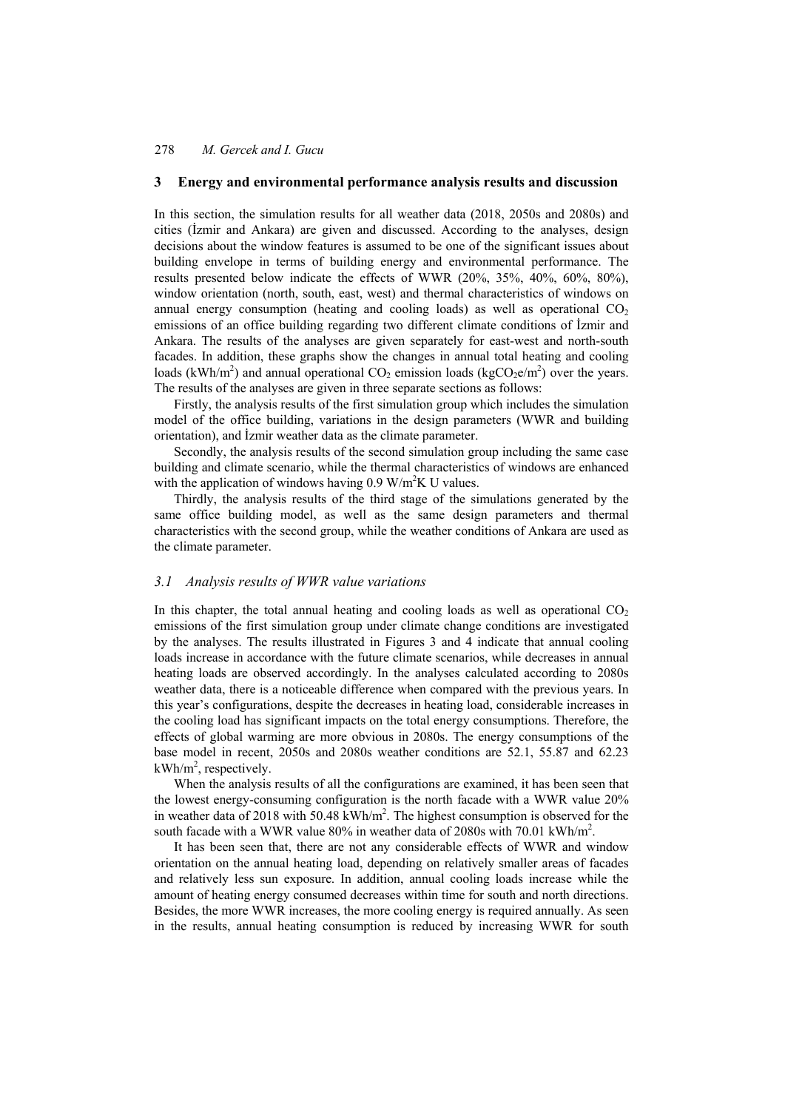#### **3 Energy and environmental performance analysis results and discussion**

In this section, the simulation results for all weather data (2018, 2050s and 2080s) and cities (İzmir and Ankara) are given and discussed. According to the analyses, design decisions about the window features is assumed to be one of the significant issues about building envelope in terms of building energy and environmental performance. The results presented below indicate the effects of WWR (20%, 35%, 40%, 60%, 80%), window orientation (north, south, east, west) and thermal characteristics of windows on annual energy consumption (heating and cooling loads) as well as operational  $CO<sub>2</sub>$ emissions of an office building regarding two different climate conditions of İzmir and Ankara. The results of the analyses are given separately for east-west and north-south facades. In addition, these graphs show the changes in annual total heating and cooling loads (kWh/m<sup>2</sup>) and annual operational CO<sub>2</sub> emission loads (kgCO<sub>2</sub>e/m<sup>2</sup>) over the years. The results of the analyses are given in three separate sections as follows:

Firstly, the analysis results of the first simulation group which includes the simulation model of the office building, variations in the design parameters (WWR and building orientation), and İzmir weather data as the climate parameter.

Secondly, the analysis results of the second simulation group including the same case building and climate scenario, while the thermal characteristics of windows are enhanced with the application of windows having  $0.9 \text{ W/m}^2 \text{K}$  U values.

Thirdly, the analysis results of the third stage of the simulations generated by the same office building model, as well as the same design parameters and thermal characteristics with the second group, while the weather conditions of Ankara are used as the climate parameter.

### *3.1 Analysis results of WWR value variations*

In this chapter, the total annual heating and cooling loads as well as operational  $CO<sub>2</sub>$ emissions of the first simulation group under climate change conditions are investigated by the analyses. The results illustrated in Figures 3 and 4 indicate that annual cooling loads increase in accordance with the future climate scenarios, while decreases in annual heating loads are observed accordingly. In the analyses calculated according to 2080s weather data, there is a noticeable difference when compared with the previous years. In this year's configurations, despite the decreases in heating load, considerable increases in the cooling load has significant impacts on the total energy consumptions. Therefore, the effects of global warming are more obvious in 2080s. The energy consumptions of the base model in recent, 2050s and 2080s weather conditions are 52.1, 55.87 and 62.23  $kWh/m^2$ , respectively.

When the analysis results of all the configurations are examined, it has been seen that the lowest energy-consuming configuration is the north facade with a WWR value 20% in weather data of 2018 with 50.48 kWh/ $m^2$ . The highest consumption is observed for the south facade with a WWR value 80% in weather data of 2080s with 70.01 kWh/m<sup>2</sup>.

It has been seen that, there are not any considerable effects of WWR and window orientation on the annual heating load, depending on relatively smaller areas of facades and relatively less sun exposure. In addition, annual cooling loads increase while the amount of heating energy consumed decreases within time for south and north directions. Besides, the more WWR increases, the more cooling energy is required annually. As seen in the results, annual heating consumption is reduced by increasing WWR for south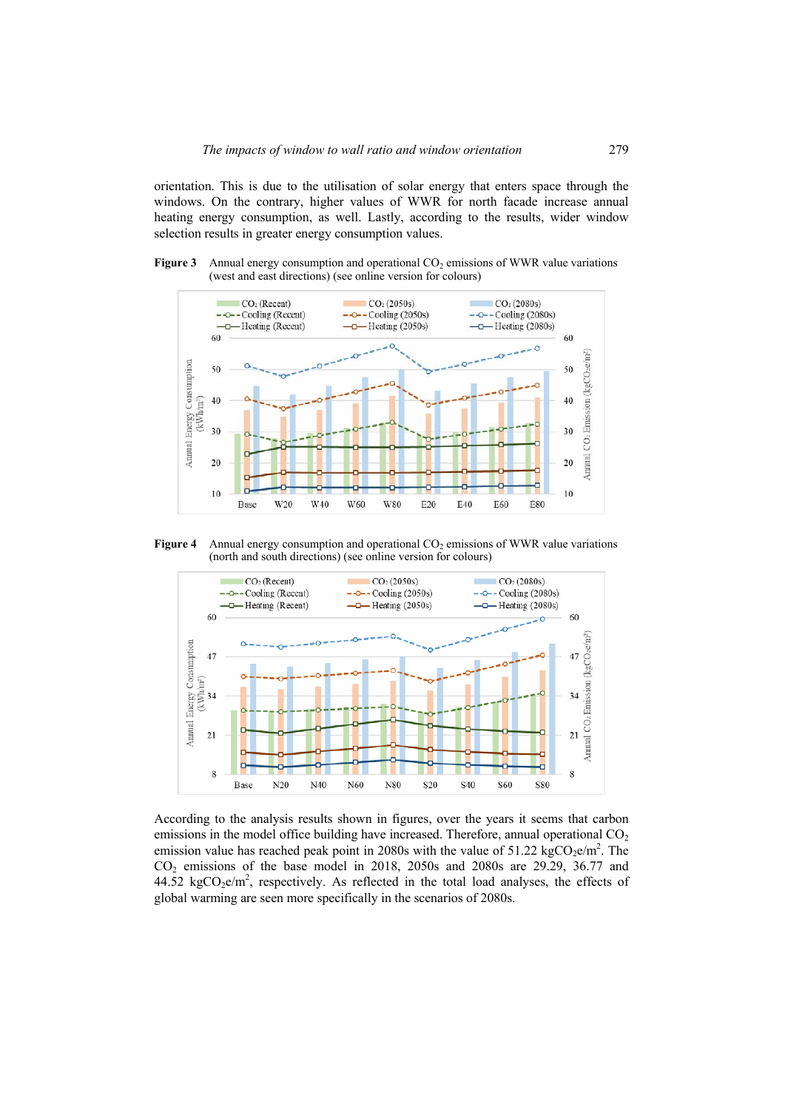orientation. This is due to the utilisation of solar energy that enters space through the windows. On the contrary, higher values of WWR for north facade increase annual heating energy consumption, as well. Lastly, according to the results, wider window selection results in greater energy consumption values.

**Figure 3** Annual energy consumption and operational  $CO_2$  emissions of WWR value variations (west and east directions) (see online version for colours)



**Figure 4** Annual energy consumption and operational CO<sub>2</sub> emissions of WWR value variations (north and south directions) (see online version for colours)



According to the analysis results shown in figures, over the years it seems that carbon emissions in the model office building have increased. Therefore, annual operational  $CO<sub>2</sub>$ emission value has reached peak point in 2080s with the value of  $51.22 \text{ kgCO}_2\text{e/m}^2$ . The  $CO<sub>2</sub>$  emissions of the base model in 2018, 2050s and 2080s are 29.29, 36.77 and 44.52 kgCO<sub>2</sub>e/m<sup>2</sup>, respectively. As reflected in the total load analyses, the effects of global warming are seen more specifically in the scenarios of 2080s.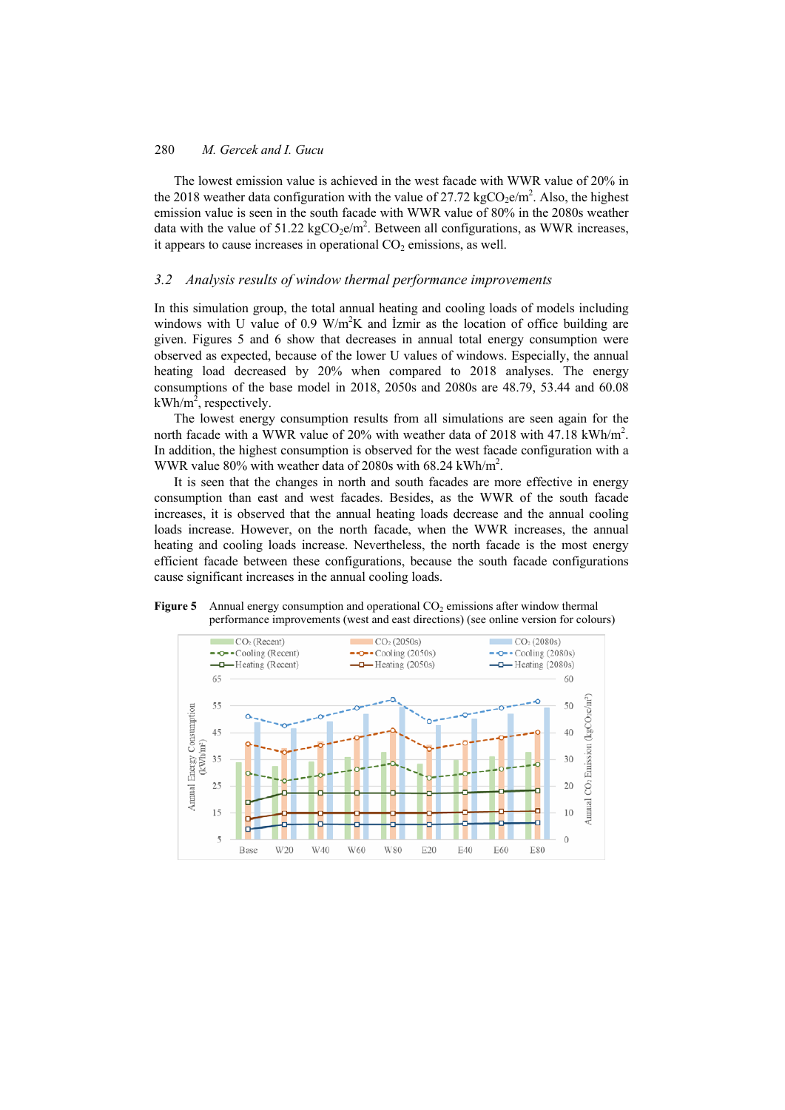The lowest emission value is achieved in the west facade with WWR value of 20% in the 2018 weather data configuration with the value of 27.72 kgCO<sub>2</sub>e/m<sup>2</sup>. Also, the highest emission value is seen in the south facade with WWR value of 80% in the 2080s weather data with the value of 51.22 kgCO<sub>2</sub>e/m<sup>2</sup>. Between all configurations, as WWR increases, it appears to cause increases in operational  $CO<sub>2</sub>$  emissions, as well.

#### *3.2 Analysis results of window thermal performance improvements*

In this simulation group, the total annual heating and cooling loads of models including windows with U value of  $0.9 \text{ W/m}^2\text{K}$  and Izmir as the location of office building are given. Figures 5 and 6 show that decreases in annual total energy consumption were observed as expected, because of the lower U values of windows. Especially, the annual heating load decreased by 20% when compared to 2018 analyses. The energy consumptions of the base model in 2018, 2050s and 2080s are 48.79, 53.44 and 60.08  $kWh/m^2$ , respectively.

The lowest energy consumption results from all simulations are seen again for the north facade with a WWR value of 20% with weather data of 2018 with 47.18  $kWh/m^2$ . In addition, the highest consumption is observed for the west facade configuration with a WWR value 80% with weather data of 2080s with 68.24 kWh/m<sup>2</sup>.

It is seen that the changes in north and south facades are more effective in energy consumption than east and west facades. Besides, as the WWR of the south facade increases, it is observed that the annual heating loads decrease and the annual cooling loads increase. However, on the north facade, when the WWR increases, the annual heating and cooling loads increase. Nevertheless, the north facade is the most energy efficient facade between these configurations, because the south facade configurations cause significant increases in the annual cooling loads.

#### **Figure 5** Annual energy consumption and operational  $CO<sub>2</sub>$  emissions after window thermal performance improvements (west and east directions) (see online version for colours)

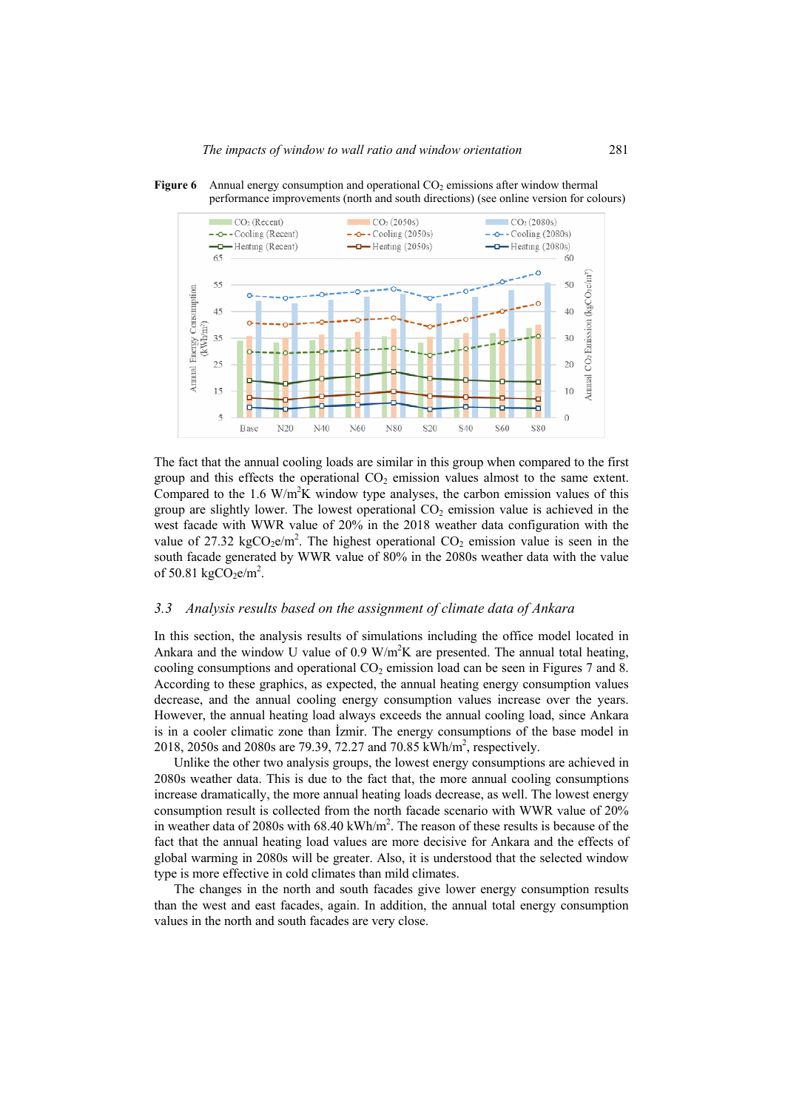



The fact that the annual cooling loads are similar in this group when compared to the first group and this effects the operational  $CO<sub>2</sub>$  emission values almost to the same extent. Compared to the 1.6 W/m<sup>2</sup>K window type analyses, the carbon emission values of this group are slightly lower. The lowest operational  $CO<sub>2</sub>$  emission value is achieved in the west facade with WWR value of 20% in the 2018 weather data configuration with the value of 27.32 kgCO<sub>2</sub>e/m<sup>2</sup>. The highest operational CO<sub>2</sub> emission value is seen in the south facade generated by WWR value of 80% in the 2080s weather data with the value of 50.81 kg $CO<sub>2</sub>e/m<sup>2</sup>$ .

#### *3.3 Analysis results based on the assignment of climate data of Ankara*

In this section, the analysis results of simulations including the office model located in Ankara and the window U value of 0.9  $W/m^2K$  are presented. The annual total heating, cooling consumptions and operational  $CO<sub>2</sub>$  emission load can be seen in Figures 7 and 8. According to these graphics, as expected, the annual heating energy consumption values decrease, and the annual cooling energy consumption values increase over the years. However, the annual heating load always exceeds the annual cooling load, since Ankara is in a cooler climatic zone than İzmir. The energy consumptions of the base model in 2018, 2050s and 2080s are 79.39, 72.27 and 70.85 kWh/m2 , respectively.

Unlike the other two analysis groups, the lowest energy consumptions are achieved in 2080s weather data. This is due to the fact that, the more annual cooling consumptions increase dramatically, the more annual heating loads decrease, as well. The lowest energy consumption result is collected from the north facade scenario with WWR value of 20% in weather data of 2080s with  $68.40 \text{ kWh/m}^2$ . The reason of these results is because of the fact that the annual heating load values are more decisive for Ankara and the effects of global warming in 2080s will be greater. Also, it is understood that the selected window type is more effective in cold climates than mild climates.

The changes in the north and south facades give lower energy consumption results than the west and east facades, again. In addition, the annual total energy consumption values in the north and south facades are very close.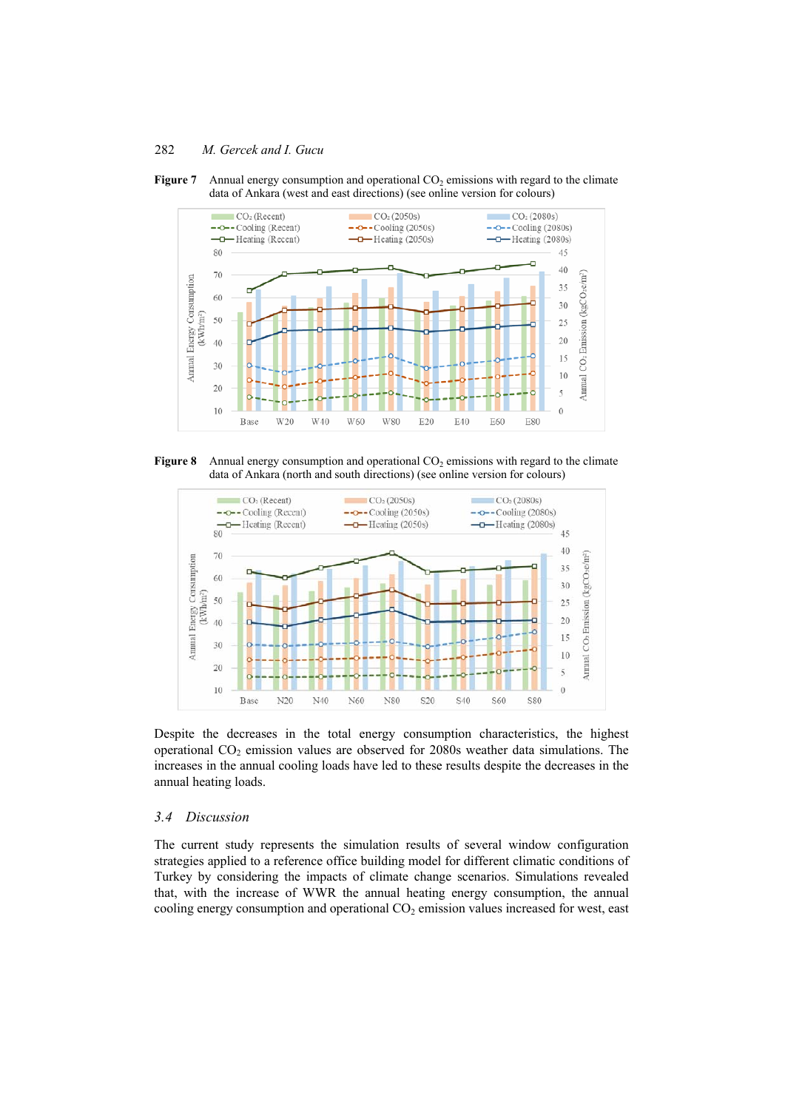







Despite the decreases in the total energy consumption characteristics, the highest operational  $CO<sub>2</sub>$  emission values are observed for 2080s weather data simulations. The increases in the annual cooling loads have led to these results despite the decreases in the annual heating loads.

### *3.4 Discussion*

The current study represents the simulation results of several window configuration strategies applied to a reference office building model for different climatic conditions of Turkey by considering the impacts of climate change scenarios. Simulations revealed that, with the increase of WWR the annual heating energy consumption, the annual cooling energy consumption and operational  $CO<sub>2</sub>$  emission values increased for west, east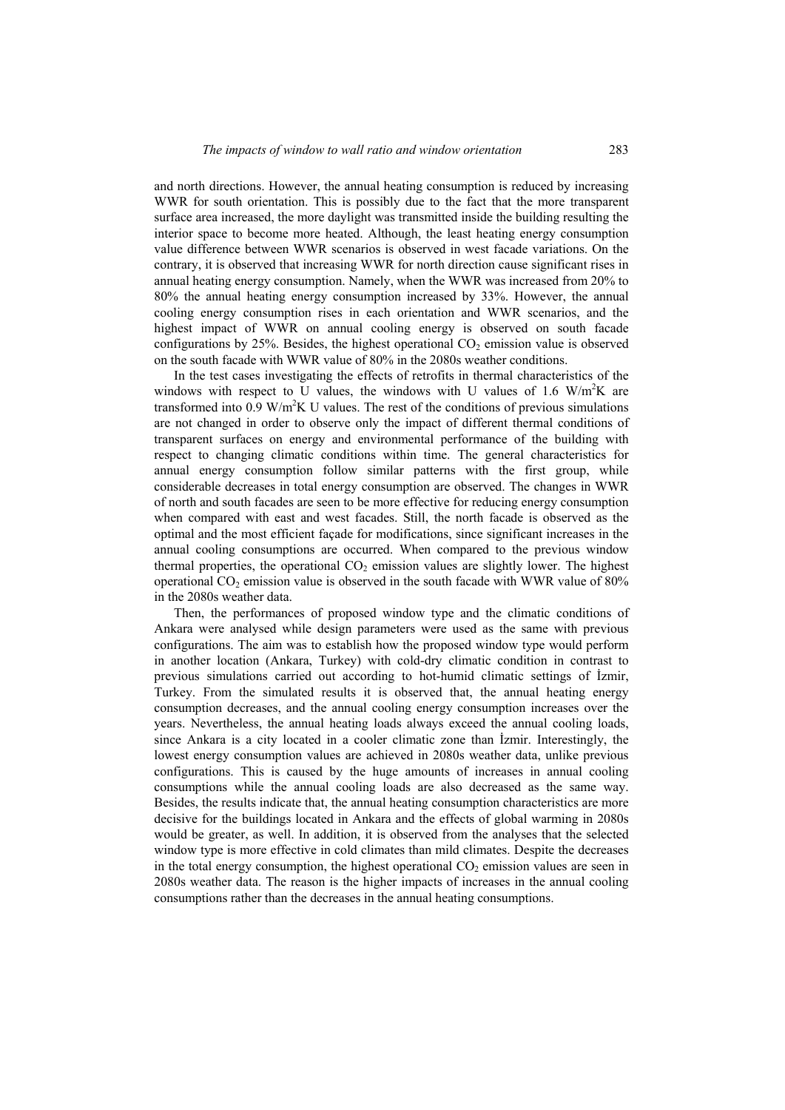and north directions. However, the annual heating consumption is reduced by increasing WWR for south orientation. This is possibly due to the fact that the more transparent surface area increased, the more daylight was transmitted inside the building resulting the interior space to become more heated. Although, the least heating energy consumption value difference between WWR scenarios is observed in west facade variations. On the contrary, it is observed that increasing WWR for north direction cause significant rises in annual heating energy consumption. Namely, when the WWR was increased from 20% to 80% the annual heating energy consumption increased by 33%. However, the annual cooling energy consumption rises in each orientation and WWR scenarios, and the highest impact of WWR on annual cooling energy is observed on south facade configurations by 25%. Besides, the highest operational  $CO<sub>2</sub>$  emission value is observed on the south facade with WWR value of 80% in the 2080s weather conditions.

In the test cases investigating the effects of retrofits in thermal characteristics of the windows with respect to U values, the windows with U values of 1.6  $W/m^2K$  are transformed into  $0.9 \text{ W/m}^2\text{K}$  U values. The rest of the conditions of previous simulations are not changed in order to observe only the impact of different thermal conditions of transparent surfaces on energy and environmental performance of the building with respect to changing climatic conditions within time. The general characteristics for annual energy consumption follow similar patterns with the first group, while considerable decreases in total energy consumption are observed. The changes in WWR of north and south facades are seen to be more effective for reducing energy consumption when compared with east and west facades. Still, the north facade is observed as the optimal and the most efficient façade for modifications, since significant increases in the annual cooling consumptions are occurred. When compared to the previous window thermal properties, the operational  $CO<sub>2</sub>$  emission values are slightly lower. The highest operational  $CO<sub>2</sub>$  emission value is observed in the south facade with WWR value of 80% in the 2080s weather data.

Then, the performances of proposed window type and the climatic conditions of Ankara were analysed while design parameters were used as the same with previous configurations. The aim was to establish how the proposed window type would perform in another location (Ankara, Turkey) with cold-dry climatic condition in contrast to previous simulations carried out according to hot-humid climatic settings of İzmir, Turkey. From the simulated results it is observed that, the annual heating energy consumption decreases, and the annual cooling energy consumption increases over the years. Nevertheless, the annual heating loads always exceed the annual cooling loads, since Ankara is a city located in a cooler climatic zone than İzmir. Interestingly, the lowest energy consumption values are achieved in 2080s weather data, unlike previous configurations. This is caused by the huge amounts of increases in annual cooling consumptions while the annual cooling loads are also decreased as the same way. Besides, the results indicate that, the annual heating consumption characteristics are more decisive for the buildings located in Ankara and the effects of global warming in 2080s would be greater, as well. In addition, it is observed from the analyses that the selected window type is more effective in cold climates than mild climates. Despite the decreases in the total energy consumption, the highest operational  $CO<sub>2</sub>$  emission values are seen in 2080s weather data. The reason is the higher impacts of increases in the annual cooling consumptions rather than the decreases in the annual heating consumptions.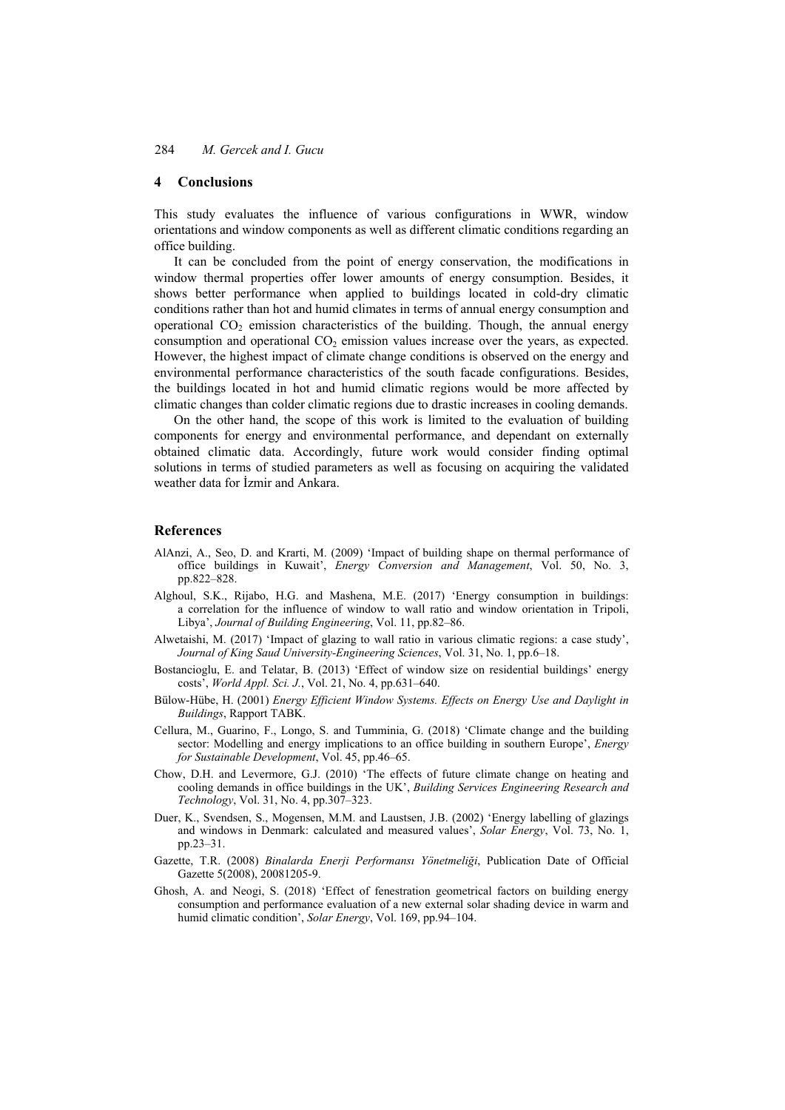#### **4 Conclusions**

This study evaluates the influence of various configurations in WWR, window orientations and window components as well as different climatic conditions regarding an office building.

It can be concluded from the point of energy conservation, the modifications in window thermal properties offer lower amounts of energy consumption. Besides, it shows better performance when applied to buildings located in cold-dry climatic conditions rather than hot and humid climates in terms of annual energy consumption and operational  $CO<sub>2</sub>$  emission characteristics of the building. Though, the annual energy consumption and operational  $CO<sub>2</sub>$  emission values increase over the years, as expected. However, the highest impact of climate change conditions is observed on the energy and environmental performance characteristics of the south facade configurations. Besides, the buildings located in hot and humid climatic regions would be more affected by climatic changes than colder climatic regions due to drastic increases in cooling demands.

On the other hand, the scope of this work is limited to the evaluation of building components for energy and environmental performance, and dependant on externally obtained climatic data. Accordingly, future work would consider finding optimal solutions in terms of studied parameters as well as focusing on acquiring the validated weather data for İzmir and Ankara.

#### **References**

- AlAnzi, A., Seo, D. and Krarti, M. (2009) 'Impact of building shape on thermal performance of office buildings in Kuwait', *Energy Conversion and Management*, Vol. 50, No. 3, pp.822–828.
- Alghoul, S.K., Rijabo, H.G. and Mashena, M.E. (2017) 'Energy consumption in buildings: a correlation for the influence of window to wall ratio and window orientation in Tripoli, Libya', *Journal of Building Engineering*, Vol. 11, pp.82–86.
- Alwetaishi, M. (2017) 'Impact of glazing to wall ratio in various climatic regions: a case study', *Journal of King Saud University-Engineering Sciences*, Vol. 31, No. 1, pp.6–18.
- Bostancioglu, E. and Telatar, B. (2013) 'Effect of window size on residential buildings' energy costs', *World Appl. Sci. J.*, Vol. 21, No. 4, pp.631–640.
- Bülow-Hübe, H. (2001) *Energy Efficient Window Systems. Effects on Energy Use and Daylight in Buildings*, Rapport TABK.
- Cellura, M., Guarino, F., Longo, S. and Tumminia, G. (2018) 'Climate change and the building sector: Modelling and energy implications to an office building in southern Europe', *Energy for Sustainable Development*, Vol. 45, pp.46–65.
- Chow, D.H. and Levermore, G.J. (2010) 'The effects of future climate change on heating and cooling demands in office buildings in the UK', *Building Services Engineering Research and Technology*, Vol. 31, No. 4, pp.307–323.
- Duer, K., Svendsen, S., Mogensen, M.M. and Laustsen, J.B. (2002) 'Energy labelling of glazings and windows in Denmark: calculated and measured values', *Solar Energy*, Vol. 73, No. 1, pp.23–31.
- Gazette, T.R. (2008) *Binalarda Enerji Performansı Yönetmeliği*, Publication Date of Official Gazette 5(2008), 20081205-9.
- Ghosh, A. and Neogi, S. (2018) 'Effect of fenestration geometrical factors on building energy consumption and performance evaluation of a new external solar shading device in warm and humid climatic condition', *Solar Energy*, Vol. 169, pp.94–104.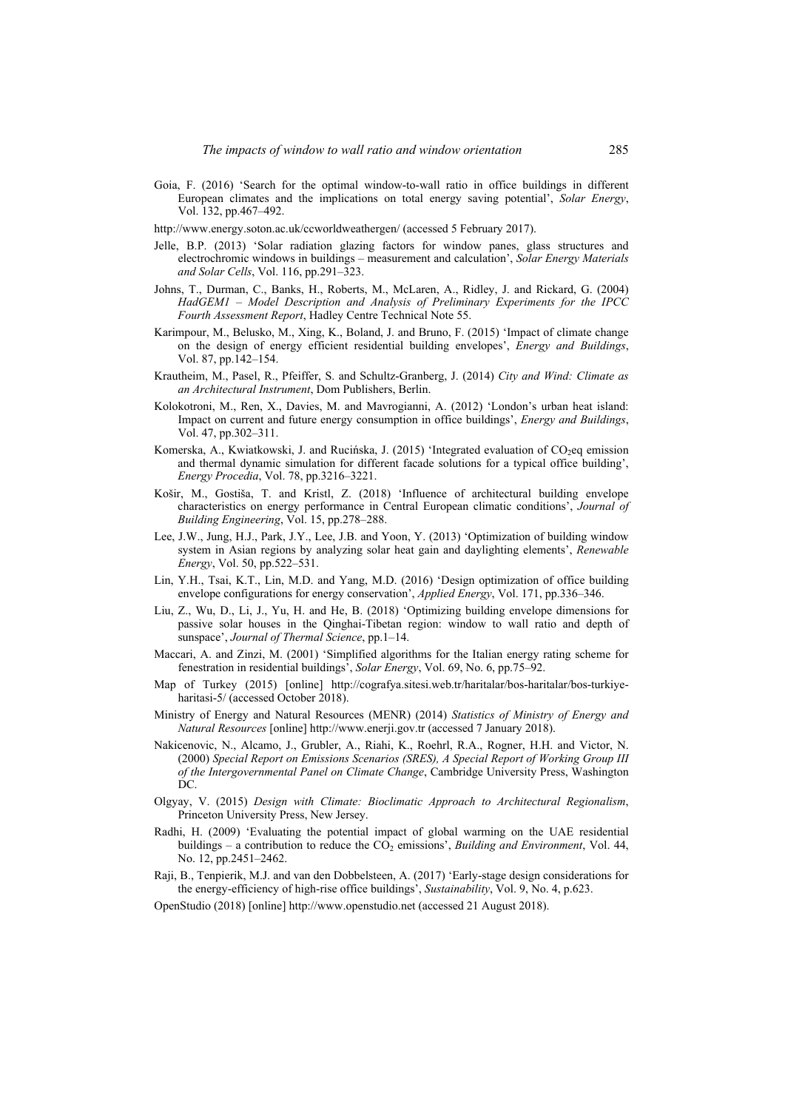- Goia, F. (2016) 'Search for the optimal window-to-wall ratio in office buildings in different European climates and the implications on total energy saving potential', *Solar Energy*, Vol. 132, pp.467–492.
- http://www.energy.soton.ac.uk/ccworldweathergen/ (accessed 5 February 2017).
- Jelle, B.P. (2013) 'Solar radiation glazing factors for window panes, glass structures and electrochromic windows in buildings – measurement and calculation', *Solar Energy Materials and Solar Cells*, Vol. 116, pp.291–323.
- Johns, T., Durman, C., Banks, H., Roberts, M., McLaren, A., Ridley, J. and Rickard, G. (2004) *HadGEM1 – Model Description and Analysis of Preliminary Experiments for the IPCC Fourth Assessment Report*, Hadley Centre Technical Note 55.
- Karimpour, M., Belusko, M., Xing, K., Boland, J. and Bruno, F. (2015) 'Impact of climate change on the design of energy efficient residential building envelopes', *Energy and Buildings*, Vol. 87, pp.142–154.
- Krautheim, M., Pasel, R., Pfeiffer, S. and Schultz-Granberg, J. (2014) *City and Wind: Climate as an Architectural Instrument*, Dom Publishers, Berlin.
- Kolokotroni, M., Ren, X., Davies, M. and Mavrogianni, A. (2012) 'London's urban heat island: Impact on current and future energy consumption in office buildings', *Energy and Buildings*, Vol. 47, pp.302–311.
- Komerska, A., Kwiatkowski, J. and Rucińska, J. (2015) 'Integrated evaluation of CO<sub>2</sub>eq emission and thermal dynamic simulation for different facade solutions for a typical office building', *Energy Procedia*, Vol. 78, pp.3216–3221.
- Košir, M., Gostiša, T. and Kristl, Z. (2018) 'Influence of architectural building envelope characteristics on energy performance in Central European climatic conditions', *Journal of Building Engineering*, Vol. 15, pp.278–288.
- Lee, J.W., Jung, H.J., Park, J.Y., Lee, J.B. and Yoon, Y. (2013) 'Optimization of building window system in Asian regions by analyzing solar heat gain and daylighting elements', *Renewable Energy*, Vol. 50, pp.522–531.
- Lin, Y.H., Tsai, K.T., Lin, M.D. and Yang, M.D. (2016) 'Design optimization of office building envelope configurations for energy conservation', *Applied Energy*, Vol. 171, pp.336–346.
- Liu, Z., Wu, D., Li, J., Yu, H. and He, B. (2018) 'Optimizing building envelope dimensions for passive solar houses in the Qinghai-Tibetan region: window to wall ratio and depth of sunspace', *Journal of Thermal Science*, pp.1–14.
- Maccari, A. and Zinzi, M. (2001) 'Simplified algorithms for the Italian energy rating scheme for fenestration in residential buildings', *Solar Energy*, Vol. 69, No. 6, pp.75–92.
- Map of Turkey (2015) [online] http://cografya.sitesi.web.tr/haritalar/bos-haritalar/bos-turkiyeharitasi-5/ (accessed October 2018).
- Ministry of Energy and Natural Resources (MENR) (2014) *Statistics of Ministry of Energy and Natural Resources* [online] http://www.enerji.gov.tr (accessed 7 January 2018).
- Nakicenovic, N., Alcamo, J., Grubler, A., Riahi, K., Roehrl, R.A., Rogner, H.H. and Victor, N. (2000) *Special Report on Emissions Scenarios (SRES), A Special Report of Working Group III of the Intergovernmental Panel on Climate Change*, Cambridge University Press, Washington DC.
- Olgyay, V. (2015) *Design with Climate: Bioclimatic Approach to Architectural Regionalism*, Princeton University Press, New Jersey.
- Radhi, H. (2009) 'Evaluating the potential impact of global warming on the UAE residential buildings – a contribution to reduce the CO<sub>2</sub> emissions', *Building and Environment*, Vol. 44, No. 12, pp.2451–2462.
- Raji, B., Tenpierik, M.J. and van den Dobbelsteen, A. (2017) 'Early-stage design considerations for the energy-efficiency of high-rise office buildings', *Sustainability*, Vol. 9, No. 4, p.623.
- OpenStudio (2018) [online] http://www.openstudio.net (accessed 21 August 2018).